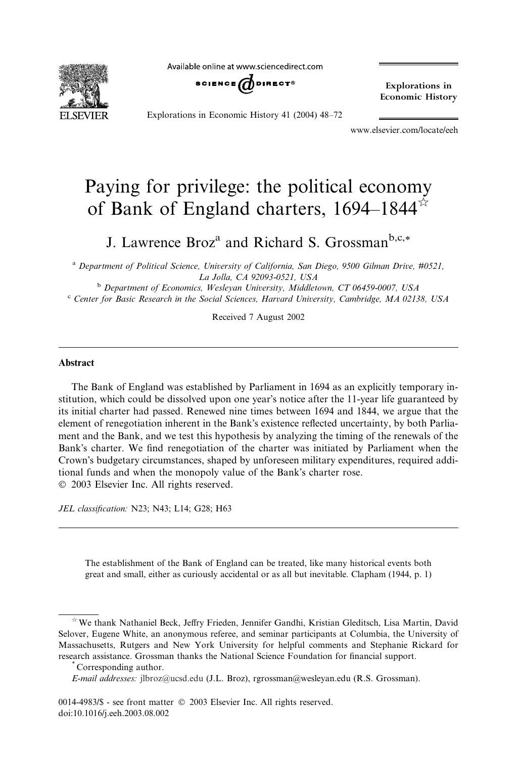**ELSEVIER** 

Available online at www.sciencedirect.com



Explorations in Economic History

Explorations in Economic History 41 (2004) 48–72

www.elsevier.com/locate/eeh

# Paying for privilege: the political economy of Bank of England charters,  $1694-1844$ <sup> $\approx$ </sup>

J. Lawrence Broz<sup>a</sup> and Richard S. Grossman<sup>b,c,\*</sup>

<sup>a</sup> Department of Political Science, University of California, San Diego, 9500 Gilman Drive, #0521, La Jolla, CA 92093-0521, USA

b Department of Economics, Wesleyan University, Middletown, CT 06459-0007, USA <sup>c</sup> Center for Basic Research in the Social Sciences, Harvard University, Cambridge, MA 02138, USA

Received 7 August 2002

## Abstract

The Bank of England was established by Parliament in 1694 as an explicitly temporary institution, which could be dissolved upon one year's notice after the 11-year life guaranteed by its initial charter had passed. Renewed nine times between 1694 and 1844, we argue that the element of renegotiation inherent in the Bank's existence reflected uncertainty, by both Parliament and the Bank, and we test this hypothesis by analyzing the timing of the renewals of the Bank's charter. We find renegotiation of the charter was initiated by Parliament when the Crown's budgetary circumstances, shaped by unforeseen military expenditures, required additional funds and when the monopoly value of the Bank's charter rose. 2003 Elsevier Inc. All rights reserved.

JEL classification: N23; N43; L14; G28; H63

The establishment of the Bank of England can be treated, like many historical events both great and small, either as curiously accidental or as all but inevitable. Clapham (1944, p. 1)

<sup>q</sup>We thank Nathaniel Beck, Jeffry Frieden, Jennifer Gandhi, Kristian Gleditsch, Lisa Martin, David Selover, Eugene White, an anonymous referee, and seminar participants at Columbia, the University of Massachusetts, Rutgers and New York University for helpful comments and Stephanie Rickard for research assistance. Grossman thanks the National Science Foundation for financial support. \* Corresponding author.

E-mail addresses: [jlbroz@ucsd.edu](mail to: jlbroz@ucsd.edu) (J.L. Broz), rgrossman@wesleyan.edu (R.S. Grossman).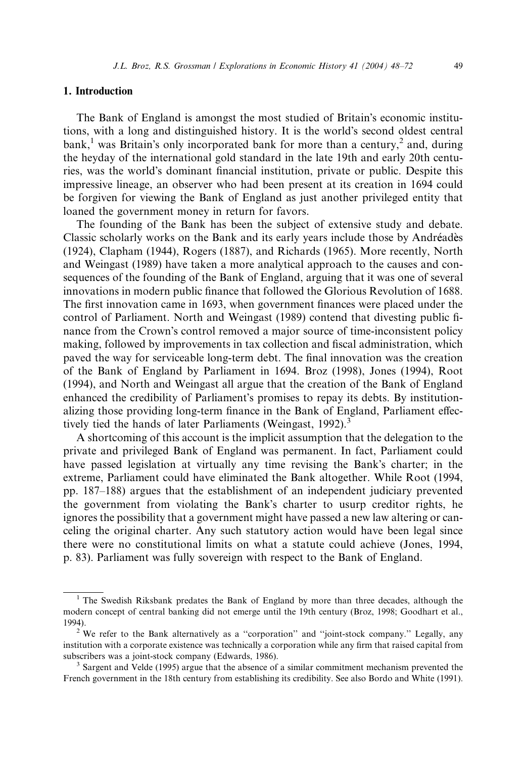# 1. Introduction

The Bank of England is amongst the most studied of Britain's economic institutions, with a long and distinguished history. It is the world's second oldest central bank,<sup>1</sup> was Britain's only incorporated bank for more than a century,<sup>2</sup> and, during the heyday of the international gold standard in the late 19th and early 20th centuries, was the world's dominant financial institution, private or public. Despite this impressive lineage, an observer who had been present at its creation in 1694 could be forgiven for viewing the Bank of England as just another privileged entity that loaned the government money in return for favors.

The founding of the Bank has been the subject of extensive study and debate. Classic scholarly works on the Bank and its early years include those by Andréadès (1924), Clapham (1944), Rogers (1887), and Richards (1965). More recently, North and Weingast (1989) have taken a more analytical approach to the causes and consequences of the founding of the Bank of England, arguing that it was one of several innovations in modern public finance that followed the Glorious Revolution of 1688. The first innovation came in 1693, when government finances were placed under the control of Parliament. North and Weingast (1989) contend that divesting public finance from the Crown's control removed a major source of time-inconsistent policy making, followed by improvements in tax collection and fiscal administration, which paved the way for serviceable long-term debt. The final innovation was the creation of the Bank of England by Parliament in 1694. Broz (1998), Jones (1994), Root (1994), and North and Weingast all argue that the creation of the Bank of England enhanced the credibility of Parliament's promises to repay its debts. By institutionalizing those providing long-term finance in the Bank of England, Parliament effectively tied the hands of later Parliaments (Weingast, 1992).<sup>3</sup>

A shortcoming of this account is the implicit assumption that the delegation to the private and privileged Bank of England was permanent. In fact, Parliament could have passed legislation at virtually any time revising the Bank's charter; in the extreme, Parliament could have eliminated the Bank altogether. While Root (1994, pp. 187–188) argues that the establishment of an independent judiciary prevented the government from violating the Bank's charter to usurp creditor rights, he ignores the possibility that a government might have passed a new law altering or canceling the original charter. Any such statutory action would have been legal since there were no constitutional limits on what a statute could achieve (Jones, 1994, p. 83). Parliament was fully sovereign with respect to the Bank of England.

<sup>&</sup>lt;sup>1</sup> The Swedish Riksbank predates the Bank of England by more than three decades, although the modern concept of central banking did not emerge until the 19th century (Broz, 1998; Goodhart et al., 1994).

<sup>&</sup>lt;sup>2</sup> We refer to the Bank alternatively as a "corporation" and "joint-stock company." Legally, any institution with a corporate existence was technically a corporation while any firm that raised capital from subscribers was a joint-stock company (Edwards, 1986).<br><sup>3</sup> Sargent and Velde (1995) argue that the absence of a similar commitment mechanism prevented the

French government in the 18th century from establishing its credibility. See also Bordo and White (1991).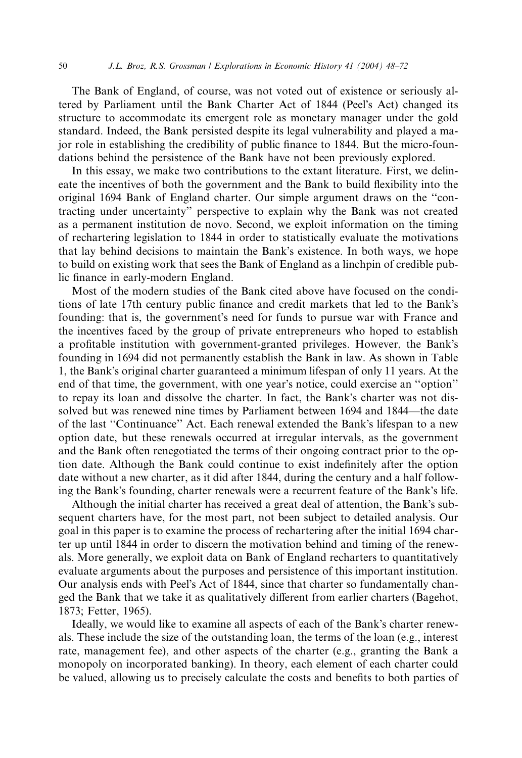The Bank of England, of course, was not voted out of existence or seriously altered by Parliament until the Bank Charter Act of 1844 (Peel's Act) changed its structure to accommodate its emergent role as monetary manager under the gold standard. Indeed, the Bank persisted despite its legal vulnerability and played a major role in establishing the credibility of public finance to 1844. But the micro-foundations behind the persistence of the Bank have not been previously explored.

In this essay, we make two contributions to the extant literature. First, we delineate the incentives of both the government and the Bank to build flexibility into the original 1694 Bank of England charter. Our simple argument draws on the ''contracting under uncertainty'' perspective to explain why the Bank was not created as a permanent institution de novo. Second, we exploit information on the timing of rechartering legislation to 1844 in order to statistically evaluate the motivations that lay behind decisions to maintain the Bank's existence. In both ways, we hope to build on existing work that sees the Bank of England as a linchpin of credible public finance in early-modern England.

Most of the modern studies of the Bank cited above have focused on the conditions of late 17th century public finance and credit markets that led to the Bank's founding: that is, the government's need for funds to pursue war with France and the incentives faced by the group of private entrepreneurs who hoped to establish a profitable institution with government-granted privileges. However, the Bank's founding in 1694 did not permanently establish the Bank in law. As shown in Table 1, the Bank's original charter guaranteed a minimum lifespan of only 11 years. At the end of that time, the government, with one year's notice, could exercise an "option" to repay its loan and dissolve the charter. In fact, the Bank's charter was not dissolved but was renewed nine times by Parliament between 1694 and 1844—the date of the last "Continuance" Act. Each renewal extended the Bank's lifespan to a new option date, but these renewals occurred at irregular intervals, as the government and the Bank often renegotiated the terms of their ongoing contract prior to the option date. Although the Bank could continue to exist indefinitely after the option date without a new charter, as it did after 1844, during the century and a half following the Bank's founding, charter renewals were a recurrent feature of the Bank's life.

Although the initial charter has received a great deal of attention, the Bank's subsequent charters have, for the most part, not been subject to detailed analysis. Our goal in this paper is to examine the process of rechartering after the initial 1694 charter up until 1844 in order to discern the motivation behind and timing of the renewals. More generally, we exploit data on Bank of England recharters to quantitatively evaluate arguments about the purposes and persistence of this important institution. Our analysis ends with Peel's Act of 1844, since that charter so fundamentally changed the Bank that we take it as qualitatively different from earlier charters (Bagehot, 1873; Fetter, 1965).

Ideally, we would like to examine all aspects of each of the Bank's charter renewals. These include the size of the outstanding loan, the terms of the loan (e.g., interest rate, management fee), and other aspects of the charter (e.g., granting the Bank a monopoly on incorporated banking). In theory, each element of each charter could be valued, allowing us to precisely calculate the costs and benefits to both parties of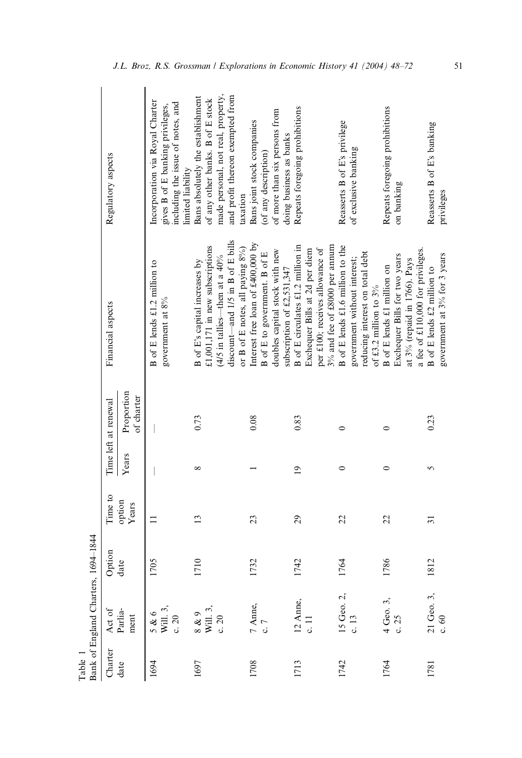|         | Table 1<br>Bank of England Charters, 1694–1844                               |        |                 |                 |                          |                                                                              |                                                                                                                               |
|---------|------------------------------------------------------------------------------|--------|-----------------|-----------------|--------------------------|------------------------------------------------------------------------------|-------------------------------------------------------------------------------------------------------------------------------|
| Charter |                                                                              | Option | Time to         |                 | Time left at renewal     | Financial aspects                                                            | Regulatory aspects                                                                                                            |
| date    | Act of<br>Parlia-<br>ment                                                    | date   | option<br>Years | Years           | Proportion<br>of charter |                                                                              |                                                                                                                               |
| 1694    | $\begin{array}{c} 5 & 8 & 6 \\ \text{Will} & 3 \\ \text{c. } 20 \end{array}$ | 1705   | $\Box$          |                 |                          | B of E lends $£1.2$ million to<br>government at 8%                           | incorporation via Royal Charter<br>including the issue of notes, and<br>gives B of E banking privileges,<br>limited liability |
| 1697    | $\begin{array}{c} 8 \& 9 \\ \text{Will} \ 3, \\ \text{c. 20} \end{array}$    | 1710   | $\overline{13}$ | $\infty$        | 0.73                     | £1,001,171 in new subscriptions<br>B of E's capital increases by             | Bans absolutely the establishment<br>of any other banks. B of E stock                                                         |
|         |                                                                              |        |                 |                 |                          | discount—and $1/5$ in $B$ of $E$ bills<br>$(4/5$ in tallies—then at a $40\%$ | made personal, not real, property,<br>and profit thereon exempted from                                                        |
| 1708    |                                                                              | 1732   | 23              |                 | 0.08                     | Interest free loan of $£400,000$ by<br>or B of E notes, all paying 8%)       | Bans joint stock companies<br>taxation                                                                                        |
|         | $7$ Anne, c. $7$                                                             |        |                 |                 |                          | <b>B</b> of E to government. B of E                                          | (of any description)                                                                                                          |
|         |                                                                              |        |                 |                 |                          | doubles capital stock with new                                               | of more than six persons from                                                                                                 |
| 1713    |                                                                              | 1742   | 29              | $\overline{19}$ | 0.83                     | <b>B</b> of E circulates £1.2 million in<br>subscription of £2,531,347       | Repeats foregoing prohibitions<br>doing business as banks                                                                     |
|         | $12$ Anne, c. $11$                                                           |        |                 |                 |                          | Exchequer Bills at 2d per diem                                               |                                                                                                                               |
|         |                                                                              |        |                 |                 |                          | 3% and fee of £8000 per annum<br>per £100; receives allowance of             |                                                                                                                               |
| 1742    | $15$ Geo. 2, c. 13                                                           | 1764   | 22              | $\circ$         | 0                        | B of E lends £1.6 million to the                                             | Reasserts B of E's privilege                                                                                                  |
|         |                                                                              |        |                 |                 |                          | government without interest;                                                 | of exclusive banking                                                                                                          |
|         |                                                                              |        |                 |                 |                          | reducing interest on total debt<br>of £3.2 million to $3\%$                  |                                                                                                                               |
| 1764    | $4$ Geo. 3,<br>c. 25                                                         | 1786   | 22              | $\circ$         | 0                        | B of E lends £1 million on                                                   | Repeats foregoing prohibitions                                                                                                |
|         |                                                                              |        |                 |                 |                          | Exchequer Bills for two years                                                | on banking                                                                                                                    |
|         |                                                                              |        |                 |                 |                          | a fee of £110,000 for privileges.<br>at 3% (repaid in 1766). Pays            |                                                                                                                               |
| 1781    |                                                                              | 1812   | $\overline{31}$ | 5               | 0.23                     | B of E lends £2 million to                                                   | Reasserts B of E's banking                                                                                                    |
|         | $21$ Geo. 3, c. 60                                                           |        |                 |                 |                          | government at 3% for 3 years                                                 | privileges                                                                                                                    |

J.L. Broz, R.S. Grossman / Explorations in Economic History 41 (2004) 48–72 51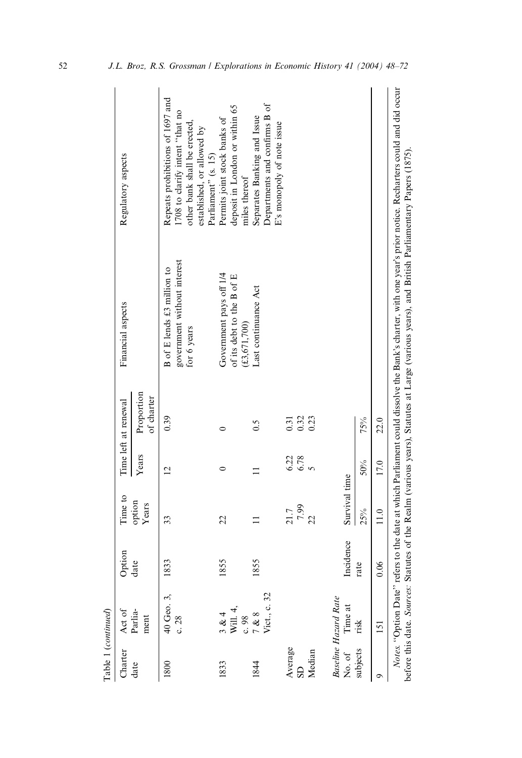|                         | Table 1 (continued)                    |           |                                  |              |                          |                                                                                                                    |                                                                                                                                                             |
|-------------------------|----------------------------------------|-----------|----------------------------------|--------------|--------------------------|--------------------------------------------------------------------------------------------------------------------|-------------------------------------------------------------------------------------------------------------------------------------------------------------|
| Charter                 | Act of $\mathbf{Partia-}$              | Option    | Time to                          |              | Time left at renewal     | Financial aspects                                                                                                  | Regulatory aspects                                                                                                                                          |
| date                    | ment                                   | date      | option<br>Years                  | Years        | Proportion<br>of charter |                                                                                                                    |                                                                                                                                                             |
| 1800                    | 40 Geo. 3,<br>c.28                     | 1833      | 33                               | 12           | 0.39                     | government without interest<br>B of E lends £3 million to<br>for 6 years                                           | Repeats prohibitions of 1697 and<br>1708 to clarify intent "that no<br>other bank shall be erected,<br>established, or allowed by<br>Parliament" (s. 15)    |
| 1833                    | Will. 4,<br>3 & 4<br>c.98              | 1855      | 22                               | 0            | 0                        | Government pays off 1/4<br>of its debt to the B of E<br>(£3,671,700)                                               | deposit in London or within 65<br>Permits joint stock banks of<br>miles thereof                                                                             |
| 1844                    | Vict., c. 32<br>7 & 8                  | 1855      |                                  |              | 0.5                      | Last continuance Act                                                                                               | Departments and confirms B of<br>Separates Banking and Issue<br>E's monopoly of note issue                                                                  |
| Average<br>Median<br>GS |                                        |           | $21.7$<br>7.99<br>$\overline{2}$ | 6.22<br>6.78 | 0.32<br>0.23<br>0.31     |                                                                                                                    |                                                                                                                                                             |
| No. of                  | <b>Baseline Hazard Rate</b><br>Time at | Incidence | Survival time                    |              |                          |                                                                                                                    |                                                                                                                                                             |
| subjects                | risk                                   | rate      | 25%                              | 50%          | 75%                      |                                                                                                                    |                                                                                                                                                             |
|                         | 151                                    | 0.06      | 11.0                             | 17.0         | 22.0                     |                                                                                                                    |                                                                                                                                                             |
|                         | before this date. Sources:             |           |                                  |              |                          | Statutes of the Realm (various years), Statutes at Large (various years), and British Parliamentary Papers (1875). | Notes. "Option Date" refers to the date at which Parliament could dissolve the Bank's charter, with one year's prior notice. Recharters could and did occur |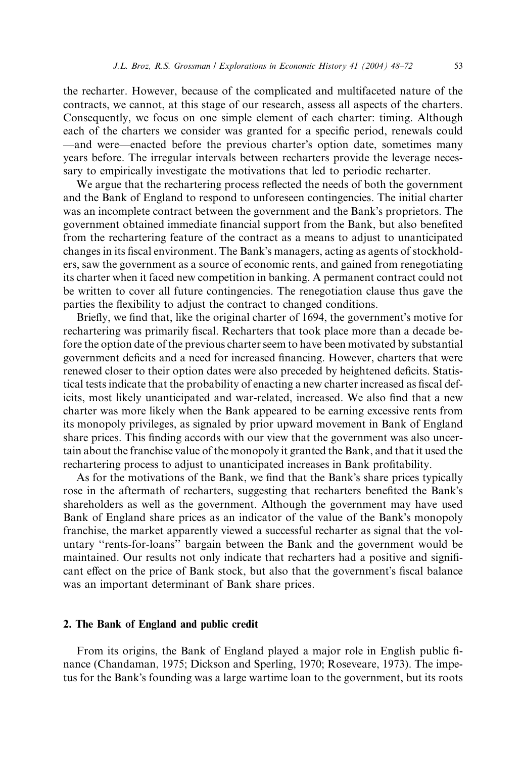the recharter. However, because of the complicated and multifaceted nature of the contracts, we cannot, at this stage of our research, assess all aspects of the charters. Consequently, we focus on one simple element of each charter: timing. Although each of the charters we consider was granted for a specific period, renewals could —and were—enacted before the previous charter's option date, sometimes many years before. The irregular intervals between recharters provide the leverage necessary to empirically investigate the motivations that led to periodic recharter.

We argue that the rechartering process reflected the needs of both the government and the Bank of England to respond to unforeseen contingencies. The initial charter was an incomplete contract between the government and the Bank's proprietors. The government obtained immediate financial support from the Bank, but also benefited from the rechartering feature of the contract as a means to adjust to unanticipated changes in its fiscal environment. The Bank's managers, acting as agents of stockholders, saw the government as a source of economic rents, and gained from renegotiating its charter when it faced new competition in banking. A permanent contract could not be written to cover all future contingencies. The renegotiation clause thus gave the parties the flexibility to adjust the contract to changed conditions.

Briefly, we find that, like the original charter of 1694, the government's motive for rechartering was primarily fiscal. Recharters that took place more than a decade before the option date of the previous charter seem to have been motivated by substantial government deficits and a need for increased financing. However, charters that were renewed closer to their option dates were also preceded by heightened deficits. Statistical tests indicate that the probability of enacting a new charter increased as fiscal deficits, most likely unanticipated and war-related, increased. We also find that a new charter was more likely when the Bank appeared to be earning excessive rents from its monopoly privileges, as signaled by prior upward movement in Bank of England share prices. This finding accords with our view that the government was also uncertain about the franchise value of the monopoly it granted the Bank, and that it used the rechartering process to adjust to unanticipated increases in Bank profitability.

As for the motivations of the Bank, we find that the Bank's share prices typically rose in the aftermath of recharters, suggesting that recharters benefited the Bank's shareholders as well as the government. Although the government may have used Bank of England share prices as an indicator of the value of the Bank's monopoly franchise, the market apparently viewed a successful recharter as signal that the voluntary ''rents-for-loans'' bargain between the Bank and the government would be maintained. Our results not only indicate that recharters had a positive and significant effect on the price of Bank stock, but also that the government's fiscal balance was an important determinant of Bank share prices.

### 2. The Bank of England and public credit

From its origins, the Bank of England played a major role in English public finance (Chandaman, 1975; Dickson and Sperling, 1970; Roseveare, 1973). The impetus for the Bank's founding was a large wartime loan to the government, but its roots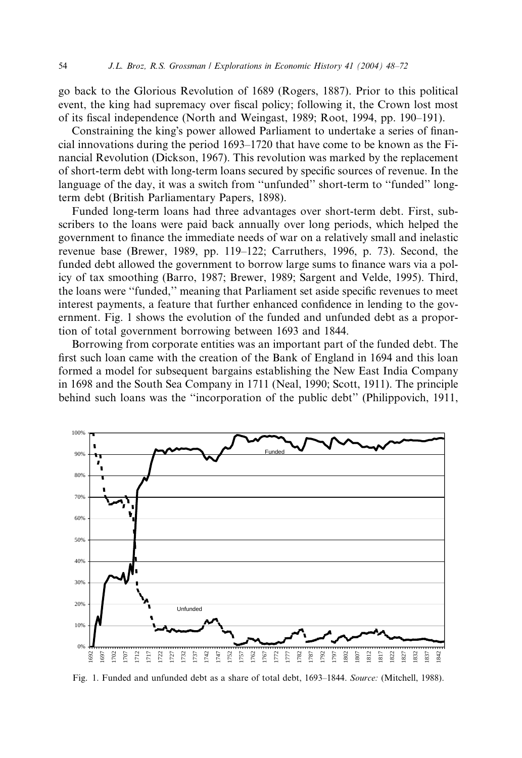go back to the Glorious Revolution of 1689 (Rogers, 1887). Prior to this political event, the king had supremacy over fiscal policy; following it, the Crown lost most of its fiscal independence (North and Weingast, 1989; Root, 1994, pp. 190–191).

Constraining the king's power allowed Parliament to undertake a series of financial innovations during the period 1693–1720 that have come to be known as the Financial Revolution (Dickson, 1967). This revolution was marked by the replacement of short-term debt with long-term loans secured by specific sources of revenue. In the language of the day, it was a switch from ''unfunded'' short-term to ''funded'' longterm debt (British Parliamentary Papers, 1898).

Funded long-term loans had three advantages over short-term debt. First, subscribers to the loans were paid back annually over long periods, which helped the government to finance the immediate needs of war on a relatively small and inelastic revenue base (Brewer, 1989, pp. 119–122; Carruthers, 1996, p. 73). Second, the funded debt allowed the government to borrow large sums to finance wars via a policy of tax smoothing (Barro, 1987; Brewer, 1989; Sargent and Velde, 1995). Third, the loans were ''funded,'' meaning that Parliament set aside specific revenues to meet interest payments, a feature that further enhanced confidence in lending to the government. Fig. 1 shows the evolution of the funded and unfunded debt as a proportion of total government borrowing between 1693 and 1844.

Borrowing from corporate entities was an important part of the funded debt. The first such loan came with the creation of the Bank of England in 1694 and this loan formed a model for subsequent bargains establishing the New East India Company in 1698 and the South Sea Company in 1711 (Neal, 1990; Scott, 1911). The principle behind such loans was the ''incorporation of the public debt'' (Philippovich, 1911,



Fig. 1. Funded and unfunded debt as a share of total debt, 1693–1844. Source: (Mitchell, 1988).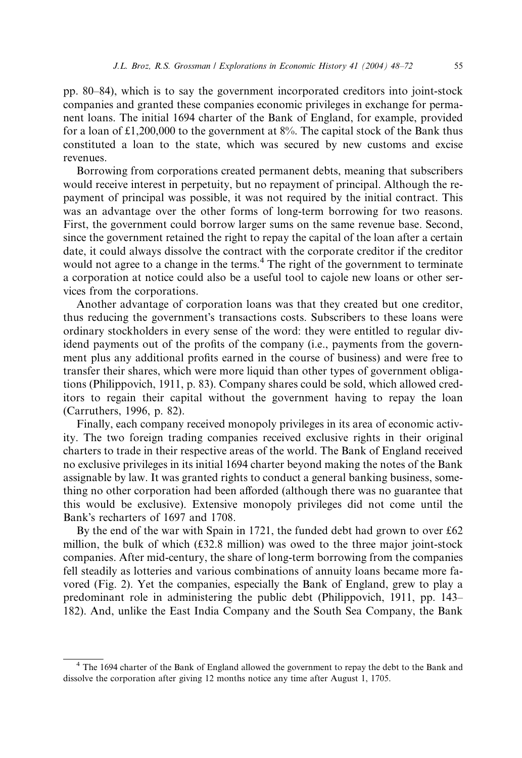pp. 80–84), which is to say the government incorporated creditors into joint-stock companies and granted these companies economic privileges in exchange for permanent loans. The initial 1694 charter of the Bank of England, for example, provided for a loan of £1,200,000 to the government at  $8\%$ . The capital stock of the Bank thus constituted a loan to the state, which was secured by new customs and excise revenues.

Borrowing from corporations created permanent debts, meaning that subscribers would receive interest in perpetuity, but no repayment of principal. Although the repayment of principal was possible, it was not required by the initial contract. This was an advantage over the other forms of long-term borrowing for two reasons. First, the government could borrow larger sums on the same revenue base. Second, since the government retained the right to repay the capital of the loan after a certain date, it could always dissolve the contract with the corporate creditor if the creditor would not agree to a change in the terms.<sup>4</sup> The right of the government to terminate a corporation at notice could also be a useful tool to cajole new loans or other services from the corporations.

Another advantage of corporation loans was that they created but one creditor, thus reducing the government's transactions costs. Subscribers to these loans were ordinary stockholders in every sense of the word: they were entitled to regular dividend payments out of the profits of the company (i.e., payments from the government plus any additional profits earned in the course of business) and were free to transfer their shares, which were more liquid than other types of government obligations (Philippovich, 1911, p. 83). Company shares could be sold, which allowed creditors to regain their capital without the government having to repay the loan (Carruthers, 1996, p. 82).

Finally, each company received monopoly privileges in its area of economic activity. The two foreign trading companies received exclusive rights in their original charters to trade in their respective areas of the world. The Bank of England received no exclusive privileges in its initial 1694 charter beyond making the notes of the Bank assignable by law. It was granted rights to conduct a general banking business, something no other corporation had been afforded (although there was no guarantee that this would be exclusive). Extensive monopoly privileges did not come until the Bank's recharters of 1697 and 1708.

By the end of the war with Spain in 1721, the funded debt had grown to over  $\text{\pounds}62$ million, the bulk of which  $(E32.8 \text{ million})$  was owed to the three major joint-stock companies. After mid-century, the share of long-term borrowing from the companies fell steadily as lotteries and various combinations of annuity loans became more favored (Fig. 2). Yet the companies, especially the Bank of England, grew to play a predominant role in administering the public debt (Philippovich, 1911, pp. 143– 182). And, unlike the East India Company and the South Sea Company, the Bank

<sup>&</sup>lt;sup>4</sup> The 1694 charter of the Bank of England allowed the government to repay the debt to the Bank and dissolve the corporation after giving 12 months notice any time after August 1, 1705.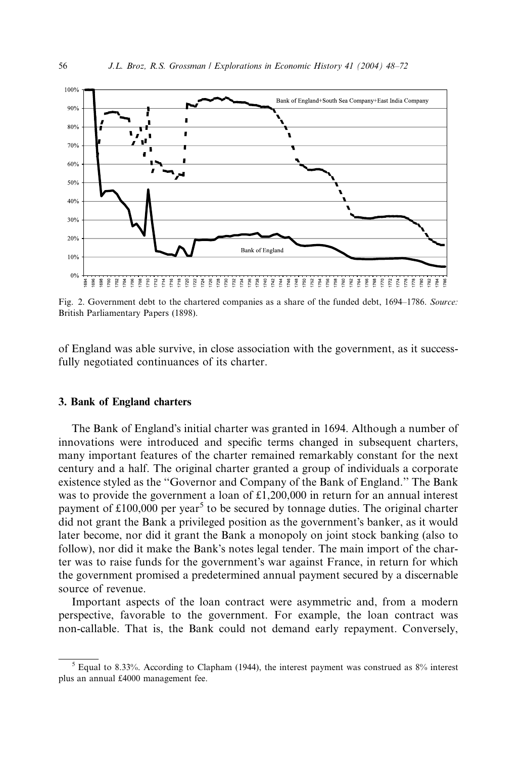

Fig. 2. Government debt to the chartered companies as a share of the funded debt, 1694–1786. Source: British Parliamentary Papers (1898).

of England was able survive, in close association with the government, as it successfully negotiated continuances of its charter.

## 3. Bank of England charters

The Bank of England's initial charter was granted in 1694. Although a number of innovations were introduced and specific terms changed in subsequent charters, many important features of the charter remained remarkably constant for the next century and a half. The original charter granted a group of individuals a corporate existence styled as the ''Governor and Company of the Bank of England.'' The Bank was to provide the government a loan of £1,200,000 in return for an annual interest payment of  $\text{\pounds}100,000$  per year<sup>5</sup> to be secured by tonnage duties. The original charter did not grant the Bank a privileged position as the government's banker, as it would later become, nor did it grant the Bank a monopoly on joint stock banking (also to follow), nor did it make the Bank's notes legal tender. The main import of the charter was to raise funds for the government's war against France, in return for which the government promised a predetermined annual payment secured by a discernable source of revenue.

Important aspects of the loan contract were asymmetric and, from a modern perspective, favorable to the government. For example, the loan contract was non-callable. That is, the Bank could not demand early repayment. Conversely,

 $<sup>5</sup>$  Equal to 8.33%. According to Clapham (1944), the interest payment was construed as 8% interest</sup> plus an annual £4000 management fee.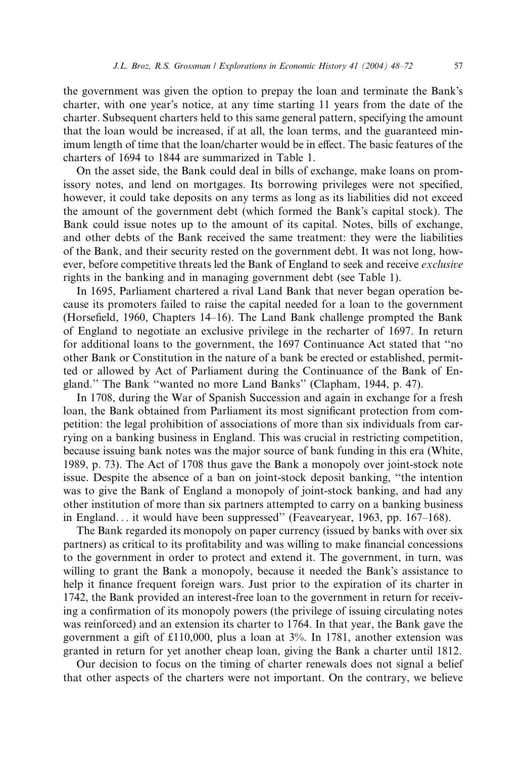the government was given the option to prepay the loan and terminate the Bank's charter, with one year's notice, at any time starting 11 years from the date of the charter. Subsequent charters held to this same general pattern, specifying the amount that the loan would be increased, if at all, the loan terms, and the guaranteed minimum length of time that the loan/charter would be in effect. The basic features of the charters of 1694 to 1844 are summarized in Table 1.

On the asset side, the Bank could deal in bills of exchange, make loans on promissory notes, and lend on mortgages. Its borrowing privileges were not specified, however, it could take deposits on any terms as long as its liabilities did not exceed the amount of the government debt (which formed the Bank's capital stock). The Bank could issue notes up to the amount of its capital. Notes, bills of exchange, and other debts of the Bank received the same treatment: they were the liabilities of the Bank, and their security rested on the government debt. It was not long, however, before competitive threats led the Bank of England to seek and receive *exclusive* rights in the banking and in managing government debt (see Table 1).

In 1695, Parliament chartered a rival Land Bank that never began operation because its promoters failed to raise the capital needed for a loan to the government (Horsefield, 1960, Chapters 14–16). The Land Bank challenge prompted the Bank of England to negotiate an exclusive privilege in the recharter of 1697. In return for additional loans to the government, the 1697 Continuance Act stated that ''no other Bank or Constitution in the nature of a bank be erected or established, permitted or allowed by Act of Parliament during the Continuance of the Bank of England.'' The Bank ''wanted no more Land Banks'' (Clapham, 1944, p. 47).

In 1708, during the War of Spanish Succession and again in exchange for a fresh loan, the Bank obtained from Parliament its most significant protection from competition: the legal prohibition of associations of more than six individuals from carrying on a banking business in England. This was crucial in restricting competition, because issuing bank notes was the major source of bank funding in this era (White, 1989, p. 73). The Act of 1708 thus gave the Bank a monopoly over joint-stock note issue. Despite the absence of a ban on joint-stock deposit banking, ''the intention was to give the Bank of England a monopoly of joint-stock banking, and had any other institution of more than six partners attempted to carry on a banking business in England... it would have been suppressed'' (Feavearyear, 1963, pp. 167–168).

The Bank regarded its monopoly on paper currency (issued by banks with over six partners) as critical to its profitability and was willing to make financial concessions to the government in order to protect and extend it. The government, in turn, was willing to grant the Bank a monopoly, because it needed the Bank's assistance to help it finance frequent foreign wars. Just prior to the expiration of its charter in 1742, the Bank provided an interest-free loan to the government in return for receiving a confirmation of its monopoly powers (the privilege of issuing circulating notes was reinforced) and an extension its charter to 1764. In that year, the Bank gave the government a gift of £110,000, plus a loan at 3%. In 1781, another extension was granted in return for yet another cheap loan, giving the Bank a charter until 1812.

Our decision to focus on the timing of charter renewals does not signal a belief that other aspects of the charters were not important. On the contrary, we believe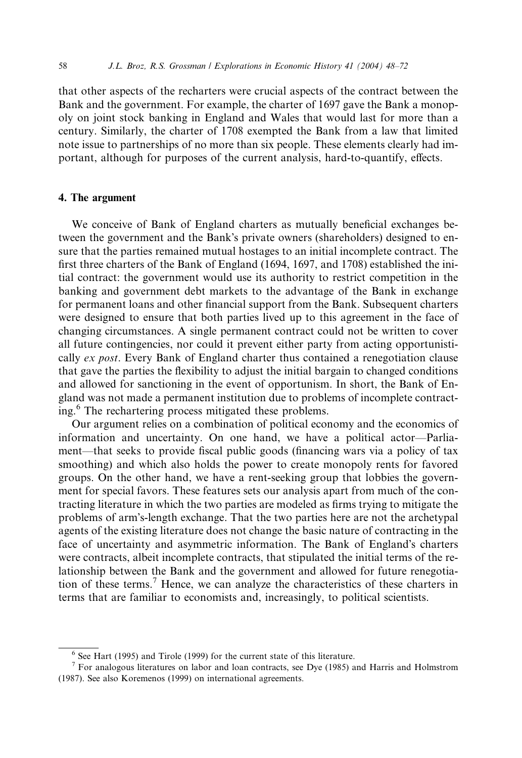that other aspects of the recharters were crucial aspects of the contract between the Bank and the government. For example, the charter of 1697 gave the Bank a monopoly on joint stock banking in England and Wales that would last for more than a century. Similarly, the charter of 1708 exempted the Bank from a law that limited note issue to partnerships of no more than six people. These elements clearly had important, although for purposes of the current analysis, hard-to-quantify, effects.

#### 4. The argument

We conceive of Bank of England charters as mutually beneficial exchanges between the government and the Bank's private owners (shareholders) designed to ensure that the parties remained mutual hostages to an initial incomplete contract. The first three charters of the Bank of England (1694, 1697, and 1708) established the initial contract: the government would use its authority to restrict competition in the banking and government debt markets to the advantage of the Bank in exchange for permanent loans and other financial support from the Bank. Subsequent charters were designed to ensure that both parties lived up to this agreement in the face of changing circumstances. A single permanent contract could not be written to cover all future contingencies, nor could it prevent either party from acting opportunistically ex post. Every Bank of England charter thus contained a renegotiation clause that gave the parties the flexibility to adjust the initial bargain to changed conditions and allowed for sanctioning in the event of opportunism. In short, the Bank of England was not made a permanent institution due to problems of incomplete contracting.<sup>6</sup> The rechartering process mitigated these problems.

Our argument relies on a combination of political economy and the economics of information and uncertainty. On one hand, we have a political actor—Parliament—that seeks to provide fiscal public goods (financing wars via a policy of tax smoothing) and which also holds the power to create monopoly rents for favored groups. On the other hand, we have a rent-seeking group that lobbies the government for special favors. These features sets our analysis apart from much of the contracting literature in which the two parties are modeled as firms trying to mitigate the problems of arms-length exchange. That the two parties here are not the archetypal agents of the existing literature does not change the basic nature of contracting in the face of uncertainty and asymmetric information. The Bank of England's charters were contracts, albeit incomplete contracts, that stipulated the initial terms of the relationship between the Bank and the government and allowed for future renegotiation of these terms.<sup>7</sup> Hence, we can analyze the characteristics of these charters in terms that are familiar to economists and, increasingly, to political scientists.

<sup>6</sup> See Hart (1995) and Tirole (1999) for the current state of this literature.

 $7$  For analogous literatures on labor and loan contracts, see Dye (1985) and Harris and Holmstrom (1987). See also Koremenos (1999) on international agreements.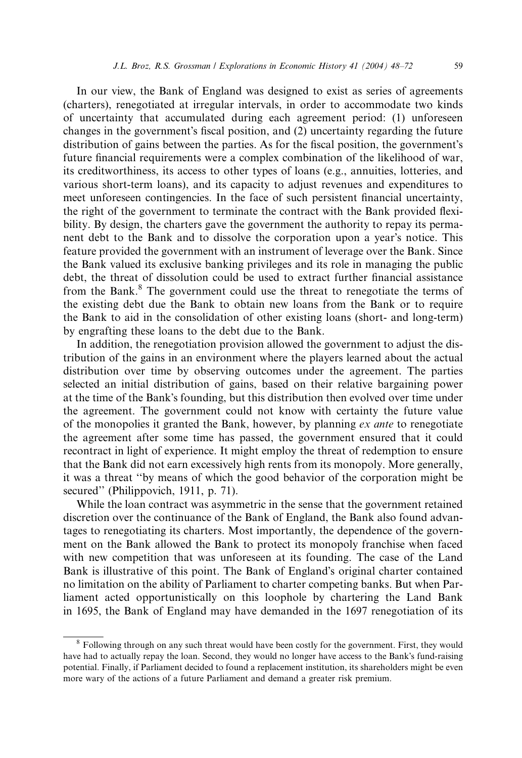In our view, the Bank of England was designed to exist as series of agreements (charters), renegotiated at irregular intervals, in order to accommodate two kinds of uncertainty that accumulated during each agreement period: (1) unforeseen changes in the government's fiscal position, and (2) uncertainty regarding the future distribution of gains between the parties. As for the fiscal position, the government's future financial requirements were a complex combination of the likelihood of war, its creditworthiness, its access to other types of loans (e.g., annuities, lotteries, and various short-term loans), and its capacity to adjust revenues and expenditures to meet unforeseen contingencies. In the face of such persistent financial uncertainty, the right of the government to terminate the contract with the Bank provided flexibility. By design, the charters gave the government the authority to repay its permanent debt to the Bank and to dissolve the corporation upon a year's notice. This feature provided the government with an instrument of leverage over the Bank. Since the Bank valued its exclusive banking privileges and its role in managing the public debt, the threat of dissolution could be used to extract further financial assistance from the Bank.<sup>8</sup> The government could use the threat to renegotiate the terms of the existing debt due the Bank to obtain new loans from the Bank or to require the Bank to aid in the consolidation of other existing loans (short- and long-term) by engrafting these loans to the debt due to the Bank.

In addition, the renegotiation provision allowed the government to adjust the distribution of the gains in an environment where the players learned about the actual distribution over time by observing outcomes under the agreement. The parties selected an initial distribution of gains, based on their relative bargaining power at the time of the Bank's founding, but this distribution then evolved over time under the agreement. The government could not know with certainty the future value of the monopolies it granted the Bank, however, by planning ex ante to renegotiate the agreement after some time has passed, the government ensured that it could recontract in light of experience. It might employ the threat of redemption to ensure that the Bank did not earn excessively high rents from its monopoly. More generally, it was a threat ''by means of which the good behavior of the corporation might be secured" (Philippovich, 1911, p. 71).

While the loan contract was asymmetric in the sense that the government retained discretion over the continuance of the Bank of England, the Bank also found advantages to renegotiating its charters. Most importantly, the dependence of the government on the Bank allowed the Bank to protect its monopoly franchise when faced with new competition that was unforeseen at its founding. The case of the Land Bank is illustrative of this point. The Bank of England's original charter contained no limitation on the ability of Parliament to charter competing banks. But when Parliament acted opportunistically on this loophole by chartering the Land Bank in 1695, the Bank of England may have demanded in the 1697 renegotiation of its

<sup>&</sup>lt;sup>8</sup> Following through on any such threat would have been costly for the government. First, they would have had to actually repay the loan. Second, they would no longer have access to the Bank's fund-raising potential. Finally, if Parliament decided to found a replacement institution, its shareholders might be even more wary of the actions of a future Parliament and demand a greater risk premium.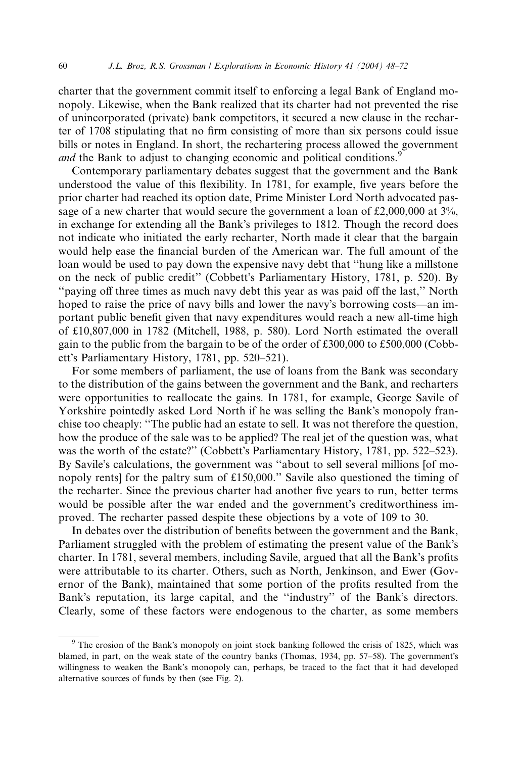charter that the government commit itself to enforcing a legal Bank of England monopoly. Likewise, when the Bank realized that its charter had not prevented the rise of unincorporated (private) bank competitors, it secured a new clause in the recharter of 1708 stipulating that no firm consisting of more than six persons could issue bills or notes in England. In short, the rechartering process allowed the government and the Bank to adjust to changing economic and political conditions.<sup>9</sup>

Contemporary parliamentary debates suggest that the government and the Bank understood the value of this flexibility. In 1781, for example, five years before the prior charter had reached its option date, Prime Minister Lord North advocated passage of a new charter that would secure the government a loan of £2,000,000 at  $3\%$ , in exchange for extending all the Bank's privileges to 1812. Though the record does not indicate who initiated the early recharter, North made it clear that the bargain would help ease the financial burden of the American war. The full amount of the loan would be used to pay down the expensive navy debt that ''hung like a millstone on the neck of public credit" (Cobbett's Parliamentary History, 1781, p. 520). By ''paying off three times as much navy debt this year as was paid off the last,'' North hoped to raise the price of navy bills and lower the navy's borrowing costs—an important public benefit given that navy expenditures would reach a new all-time high of £10,807,000 in 1782 (Mitchell, 1988, p. 580). Lord North estimated the overall gain to the public from the bargain to be of the order of £300,000 to £500,000 (Cobbett's Parliamentary History, 1781, pp. 520–521).

For some members of parliament, the use of loans from the Bank was secondary to the distribution of the gains between the government and the Bank, and recharters were opportunities to reallocate the gains. In 1781, for example, George Savile of Yorkshire pointedly asked Lord North if he was selling the Bank's monopoly franchise too cheaply: ''The public had an estate to sell. It was not therefore the question, how the produce of the sale was to be applied? The real jet of the question was, what was the worth of the estate?" (Cobbett's Parliamentary History, 1781, pp. 522–523). By Savile's calculations, the government was "about to sell several millions [of monopoly rents] for the paltry sum of £150,000.'' Savile also questioned the timing of the recharter. Since the previous charter had another five years to run, better terms would be possible after the war ended and the government's creditworthiness improved. The recharter passed despite these objections by a vote of 109 to 30.

In debates over the distribution of benefits between the government and the Bank, Parliament struggled with the problem of estimating the present value of the Bank's charter. In 1781, several members, including Savile, argued that all the Bank's profits were attributable to its charter. Others, such as North, Jenkinson, and Ewer (Governor of the Bank), maintained that some portion of the profits resulted from the Bank's reputation, its large capital, and the "industry" of the Bank's directors. Clearly, some of these factors were endogenous to the charter, as some members

 $9$  The erosion of the Bank's monopoly on joint stock banking followed the crisis of 1825, which was blamed, in part, on the weak state of the country banks (Thomas, 1934, pp. 57–58). The government's willingness to weaken the Bank's monopoly can, perhaps, be traced to the fact that it had developed alternative sources of funds by then (see Fig. 2).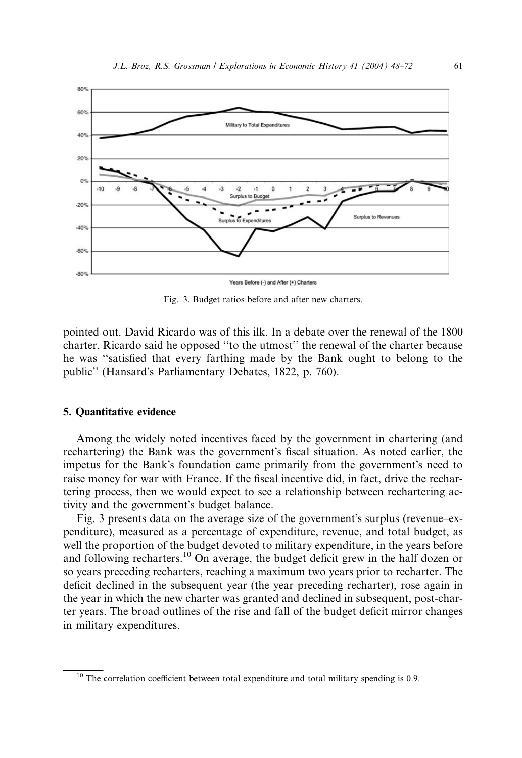

Fig. 3. Budget ratios before and after new charters.

pointed out. David Ricardo was of this ilk. In a debate over the renewal of the 1800 charter, Ricardo said he opposed ''to the utmost'' the renewal of the charter because he was ''satisfied that every farthing made by the Bank ought to belong to the public" (Hansard's Parliamentary Debates, 1822, p. 760).

## 5. Quantitative evidence

Among the widely noted incentives faced by the government in chartering (and rechartering) the Bank was the government's fiscal situation. As noted earlier, the impetus for the Bank's foundation came primarily from the government's need to raise money for war with France. If the fiscal incentive did, in fact, drive the rechartering process, then we would expect to see a relationship between rechartering activity and the government's budget balance.

Fig. 3 presents data on the average size of the government's surplus (revenue–expenditure), measured as a percentage of expenditure, revenue, and total budget, as well the proportion of the budget devoted to military expenditure, in the years before and following recharters.<sup>10</sup> On average, the budget deficit grew in the half dozen or so years preceding recharters, reaching a maximum two years prior to recharter. The deficit declined in the subsequent year (the year preceding recharter), rose again in the year in which the new charter was granted and declined in subsequent, post-charter years. The broad outlines of the rise and fall of the budget deficit mirror changes in military expenditures.

 $10$  The correlation coefficient between total expenditure and total military spending is 0.9.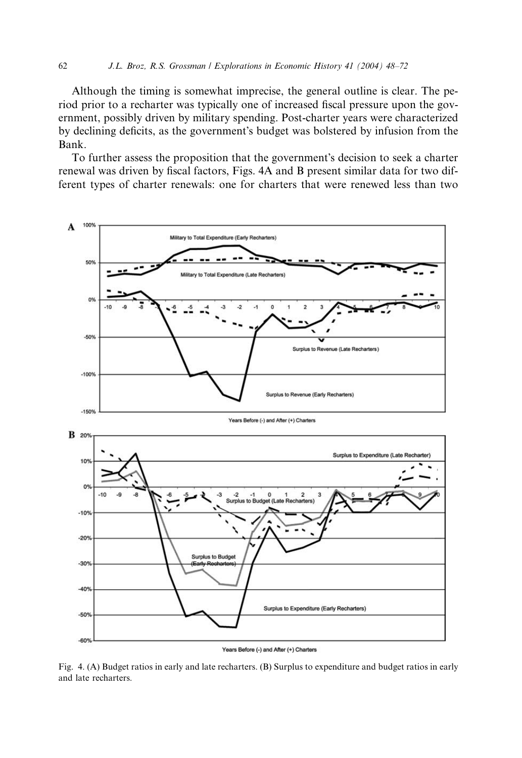Although the timing is somewhat imprecise, the general outline is clear. The period prior to a recharter was typically one of increased fiscal pressure upon the government, possibly driven by military spending. Post-charter years were characterized by declining deficits, as the government's budget was bolstered by infusion from the Bank.

To further assess the proposition that the government's decision to seek a charter renewal was driven by fiscal factors, Figs. 4A and B present similar data for two different types of charter renewals: one for charters that were renewed less than two



Years Before (-) and After (+) Charters

Fig. 4. (A) Budget ratios in early and late recharters. (B) Surplus to expenditure and budget ratios in early and late recharters.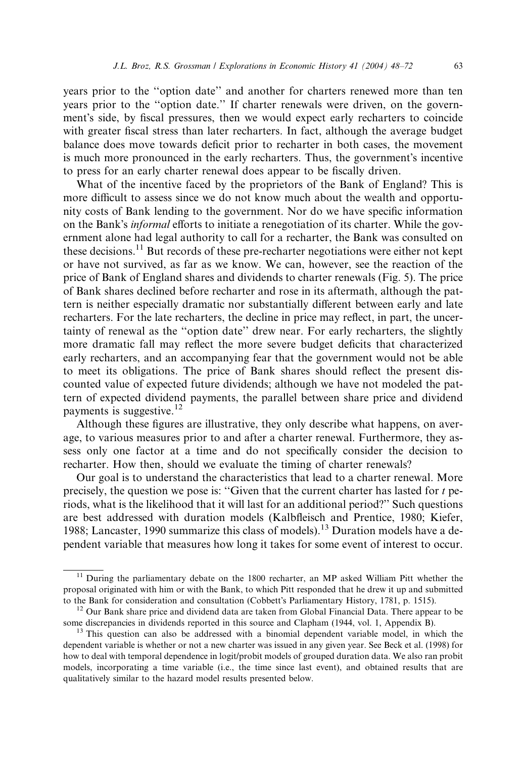years prior to the ''option date'' and another for charters renewed more than ten years prior to the ''option date.'' If charter renewals were driven, on the government's side, by fiscal pressures, then we would expect early recharters to coincide with greater fiscal stress than later recharters. In fact, although the average budget balance does move towards deficit prior to recharter in both cases, the movement is much more pronounced in the early recharters. Thus, the government's incentive to press for an early charter renewal does appear to be fiscally driven.

What of the incentive faced by the proprietors of the Bank of England? This is more difficult to assess since we do not know much about the wealth and opportunity costs of Bank lending to the government. Nor do we have specific information on the Bank's *informal* efforts to initiate a renegotiation of its charter. While the government alone had legal authority to call for a recharter, the Bank was consulted on these decisions.<sup>11</sup> But records of these pre-recharter negotiations were either not kept or have not survived, as far as we know. We can, however, see the reaction of the price of Bank of England shares and dividends to charter renewals (Fig. 5). The price of Bank shares declined before recharter and rose in its aftermath, although the pattern is neither especially dramatic nor substantially different between early and late recharters. For the late recharters, the decline in price may reflect, in part, the uncertainty of renewal as the ''option date'' drew near. For early recharters, the slightly more dramatic fall may reflect the more severe budget deficits that characterized early recharters, and an accompanying fear that the government would not be able to meet its obligations. The price of Bank shares should reflect the present discounted value of expected future dividends; although we have not modeled the pattern of expected dividend payments, the parallel between share price and dividend payments is suggestive.<sup>12</sup>

Although these figures are illustrative, they only describe what happens, on average, to various measures prior to and after a charter renewal. Furthermore, they assess only one factor at a time and do not specifically consider the decision to recharter. How then, should we evaluate the timing of charter renewals?

Our goal is to understand the characteristics that lead to a charter renewal. More precisely, the question we pose is: "Given that the current charter has lasted for  $t$  periods, what is the likelihood that it will last for an additional period?'' Such questions are best addressed with duration models (Kalbfleisch and Prentice, 1980; Kiefer, 1988; Lancaster, 1990 summarize this class of models).<sup>13</sup> Duration models have a dependent variable that measures how long it takes for some event of interest to occur.

<sup>&</sup>lt;sup>11</sup> During the parliamentary debate on the 1800 recharter, an MP asked William Pitt whether the proposal originated with him or with the Bank, to which Pitt responded that he drew it up and submitted to the Bank for consideration and consultation (Cobbett's Parliamentary History, 1781, p. 1515).

 $12$  Our Bank share price and dividend data are taken from Global Financial Data. There appear to be some discrepancies in dividends reported in this source and Clapham (1944, vol. 1, Appendix B).

<sup>&</sup>lt;sup>13</sup> This question can also be addressed with a binomial dependent variable model, in which the dependent variable is whether or not a new charter was issued in any given year. See Beck et al. (1998) for how to deal with temporal dependence in logit/probit models of grouped duration data. We also ran probit models, incorporating a time variable (i.e., the time since last event), and obtained results that are qualitatively similar to the hazard model results presented below.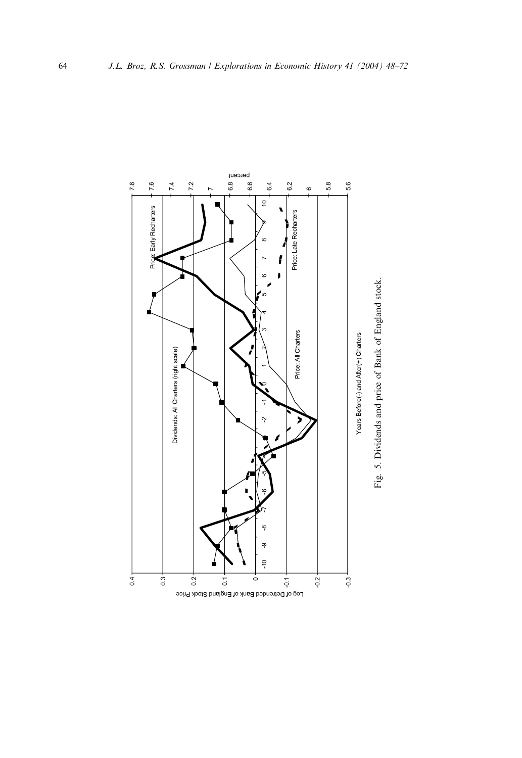

Fig. 5. Dividends and price of Bank of England stock. Fig. 5. Dividends and price of Bank of England stock.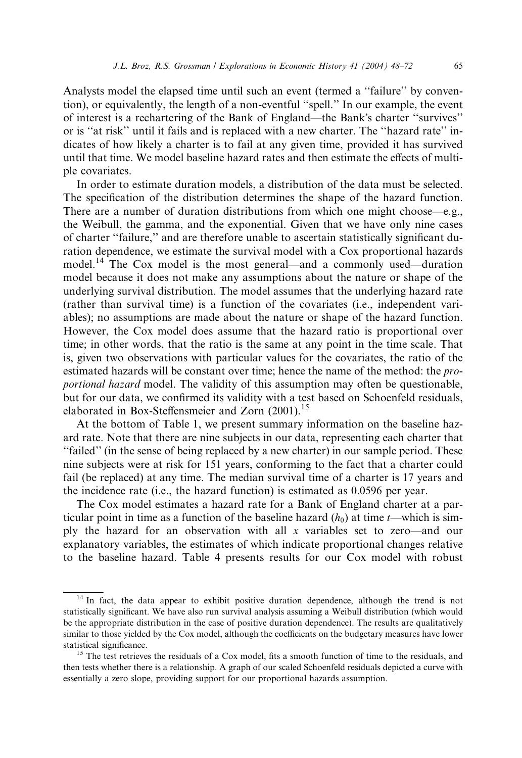Analysts model the elapsed time until such an event (termed a ''failure'' by convention), or equivalently, the length of a non-eventful ''spell.'' In our example, the event of interest is a rechartering of the Bank of England—the Banks charter ''survives'' or is ''at risk'' until it fails and is replaced with a new charter. The ''hazard rate'' indicates of how likely a charter is to fail at any given time, provided it has survived until that time. We model baseline hazard rates and then estimate the effects of multiple covariates.

In order to estimate duration models, a distribution of the data must be selected. The specification of the distribution determines the shape of the hazard function. There are a number of duration distributions from which one might choose—e.g., the Weibull, the gamma, and the exponential. Given that we have only nine cases of charter ''failure,'' and are therefore unable to ascertain statistically significant duration dependence, we estimate the survival model with a Cox proportional hazards model.<sup>14</sup> The Cox model is the most general—and a commonly used—duration model because it does not make any assumptions about the nature or shape of the underlying survival distribution. The model assumes that the underlying hazard rate (rather than survival time) is a function of the covariates (i.e., independent variables); no assumptions are made about the nature or shape of the hazard function. However, the Cox model does assume that the hazard ratio is proportional over time; in other words, that the ratio is the same at any point in the time scale. That is, given two observations with particular values for the covariates, the ratio of the estimated hazards will be constant over time; hence the name of the method: the proportional hazard model. The validity of this assumption may often be questionable, but for our data, we confirmed its validity with a test based on Schoenfeld residuals, elaborated in Box-Steffensmeier and Zorn (2001).<sup>15</sup>

At the bottom of Table 1, we present summary information on the baseline hazard rate. Note that there are nine subjects in our data, representing each charter that ''failed'' (in the sense of being replaced by a new charter) in our sample period. These nine subjects were at risk for 151 years, conforming to the fact that a charter could fail (be replaced) at any time. The median survival time of a charter is 17 years and the incidence rate (i.e., the hazard function) is estimated as 0.0596 per year.

The Cox model estimates a hazard rate for a Bank of England charter at a particular point in time as a function of the baseline hazard  $(h_0)$  at time t—which is simply the hazard for an observation with all x variables set to zero—and our explanatory variables, the estimates of which indicate proportional changes relative to the baseline hazard. Table 4 presents results for our Cox model with robust

<sup>&</sup>lt;sup>14</sup> In fact, the data appear to exhibit positive duration dependence, although the trend is not statistically significant. We have also run survival analysis assuming a Weibull distribution (which would be the appropriate distribution in the case of positive duration dependence). The results are qualitatively similar to those yielded by the Cox model, although the coefficients on the budgetary measures have lower statistical significance.<br><sup>15</sup> The test retrieves the residuals of a Cox model, fits a smooth function of time to the residuals, and

then tests whether there is a relationship. A graph of our scaled Schoenfeld residuals depicted a curve with essentially a zero slope, providing support for our proportional hazards assumption.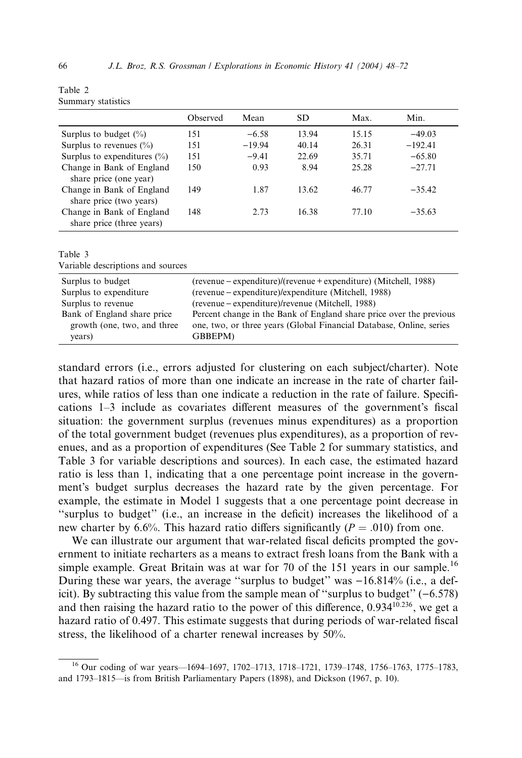|                                                        | Observed | Mean     | <b>SD</b> | Max.  | Min.      |
|--------------------------------------------------------|----------|----------|-----------|-------|-----------|
| Surplus to budget $(\%)$                               | 151      | $-6.58$  | 13.94     | 15.15 | $-49.03$  |
| Surplus to revenues $(\%)$                             | 151      | $-19.94$ | 40.14     | 26.31 | $-192.41$ |
| Surplus to expenditures $(\% )$                        | 151      | $-9.41$  | 22.69     | 35.71 | $-65.80$  |
| Change in Bank of England<br>share price (one year)    | 150      | 0.93     | 8.94      | 25.28 | $-27.71$  |
| Change in Bank of England<br>share price (two years)   | 149      | 1.87     | 13.62     | 46.77 | $-35.42$  |
| Change in Bank of England<br>share price (three years) | 148      | 2.73     | 16.38     | 77.10 | $-35.63$  |

| Table 2            |  |
|--------------------|--|
| Summary statistics |  |

Table 3

| Surplus to budget           | (revenue – expenditure)/(revenue + expenditure) (Mitchell, 1988)    |
|-----------------------------|---------------------------------------------------------------------|
| Surplus to expenditure      | (revenue – expenditure)/expenditure (Mitchell, 1988)                |
| Surplus to revenue          | (revenue – expenditure)/revenue (Mitchell, 1988)                    |
| Bank of England share price | Percent change in the Bank of England share price over the previous |
| growth (one, two, and three | one, two, or three years (Global Financial Database, Online, series |
| years)                      | GBBEPM)                                                             |

standard errors (i.e., errors adjusted for clustering on each subject/charter). Note that hazard ratios of more than one indicate an increase in the rate of charter failures, while ratios of less than one indicate a reduction in the rate of failure. Specifications  $1-3$  include as covariates different measures of the government's fiscal situation: the government surplus (revenues minus expenditures) as a proportion of the total government budget (revenues plus expenditures), as a proportion of revenues, and as a proportion of expenditures (See Table 2 for summary statistics, and Table 3 for variable descriptions and sources). In each case, the estimated hazard ratio is less than 1, indicating that a one percentage point increase in the government's budget surplus decreases the hazard rate by the given percentage. For example, the estimate in Model 1 suggests that a one percentage point decrease in "surplus to budget" (i.e., an increase in the deficit) increases the likelihood of a new charter by 6.6%. This hazard ratio differs significantly ( $P = .010$ ) from one.

We can illustrate our argument that war-related fiscal deficits prompted the government to initiate recharters as a means to extract fresh loans from the Bank with a simple example. Great Britain was at war for 70 of the 151 years in our sample.<sup>16</sup> During these war years, the average "surplus to budget" was  $-16.814\%$  (i.e., a deficit). By subtracting this value from the sample mean of "surplus to budget"  $(-6.578)$ and then raising the hazard ratio to the power of this difference,  $0.934^{10.236}$ , we get a hazard ratio of 0.497. This estimate suggests that during periods of war-related fiscal stress, the likelihood of a charter renewal increases by 50%.

<sup>&</sup>lt;sup>16</sup> Our coding of war years—1694–1697, 1702–1713, 1718–1721, 1739–1748, 1756–1763, 1775–1783, and 1793–1815—is from British Parliamentary Papers (1898), and Dickson (1967, p. 10).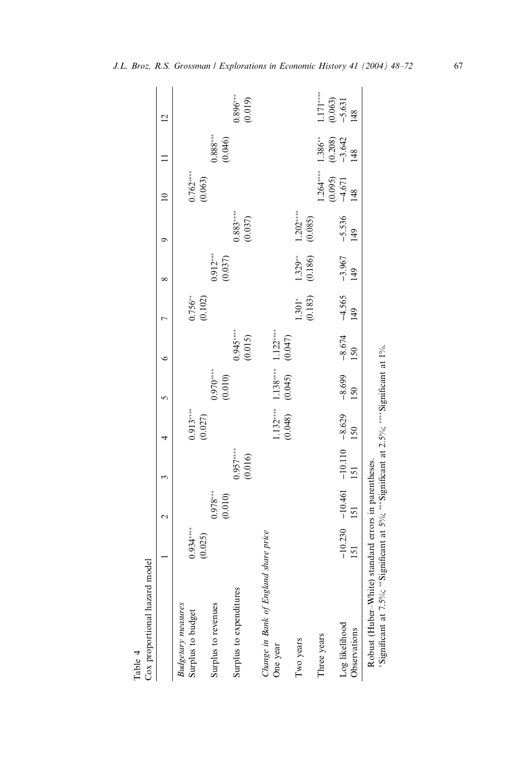| model<br>Cox proportional hazard<br>Table 4                   |                                                                                                       |                 |                       |                         |                       |                                                                                                      |                       |                       |                       |                            |                                       |                                        |
|---------------------------------------------------------------|-------------------------------------------------------------------------------------------------------|-----------------|-----------------------|-------------------------|-----------------------|------------------------------------------------------------------------------------------------------|-----------------------|-----------------------|-----------------------|----------------------------|---------------------------------------|----------------------------------------|
|                                                               |                                                                                                       | $\mathbf{\sim}$ |                       |                         |                       | ७                                                                                                    | ٣                     | $\infty$              | Ò                     | $\overline{a}$             |                                       | $\overline{c}$                         |
| <b>Budgetary</b> measures<br>Surplus to budget                | $0.934***$<br>(0.025)                                                                                 |                 |                       | $0.913***$<br>(0.027)   |                       |                                                                                                      | $0.756**$<br>(0.102)  |                       |                       | $0.762***$<br>(0.063)      |                                       |                                        |
| Surplus to revenues                                           |                                                                                                       | (0.010)         |                       |                         | $0.970***$<br>(0.010) |                                                                                                      |                       | $0.912***$<br>(0.037) |                       |                            | $0.888***$<br>(0.046)                 |                                        |
| Surplus to expenditures                                       |                                                                                                       |                 | $0.957***$<br>(0.016) |                         |                       | $0.945***$<br>(0.015)                                                                                |                       |                       | $0.883***$<br>(0.037) |                            |                                       | (610.0)                                |
| Change in Bank of England share price<br>One year             |                                                                                                       |                 |                       | $1.132***$ 1<br>(0.048) | $1.138***$<br>(0.045) | $1.122***$<br>(0.047)                                                                                |                       |                       |                       |                            |                                       |                                        |
| Two years                                                     |                                                                                                       |                 |                       |                         |                       |                                                                                                      | $1.301*$<br>$(0.183)$ | $1.329**$<br>(0.186)  | $1.202***$<br>(0.085) |                            |                                       |                                        |
| Three years                                                   |                                                                                                       |                 |                       |                         |                       |                                                                                                      |                       |                       |                       | $1.264***$                 |                                       |                                        |
| Log likelihood<br>Observations                                |                                                                                                       |                 |                       |                         |                       | $-10.230$ $-10.461$ $-10.110$ $-8.629$ $-8.699$ $-8.674$ $-4.565$<br>151 151 151 151 150 150 150 149 |                       | $-3.967$<br>149       | $-5.536$<br>149       | $(0.095)$<br>-4.671<br>148 | $1.386**$<br>(0.208)<br>-3.642<br>148 | $1.171***$<br>(0.063)<br>-5.631<br>148 |
| Robust (Huber-White)<br>$\text{``Significant at } 7.5\%$ ; ** | Significant at 5%; *** Significant at 2.5%; *** Significant at 1%.<br>standard errors in parentheses. |                 |                       |                         |                       |                                                                                                      |                       |                       |                       |                            |                                       |                                        |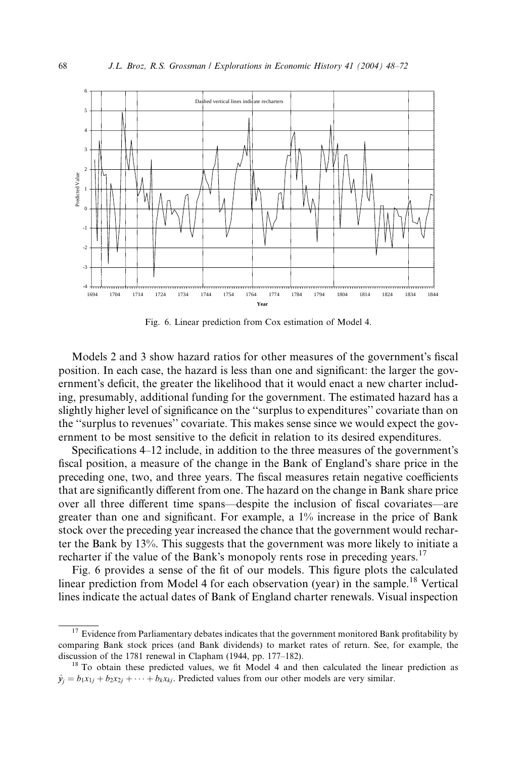

Fig. 6. Linear prediction from Cox estimation of Model 4.

Models 2 and 3 show hazard ratios for other measures of the government's fiscal position. In each case, the hazard is less than one and significant: the larger the government's deficit, the greater the likelihood that it would enact a new charter including, presumably, additional funding for the government. The estimated hazard has a slightly higher level of significance on the ''surplus to expenditures'' covariate than on the ''surplus to revenues'' covariate. This makes sense since we would expect the government to be most sensitive to the deficit in relation to its desired expenditures.

Specifications 4–12 include, in addition to the three measures of the government's fiscal position, a measure of the change in the Bank of England's share price in the preceding one, two, and three years. The fiscal measures retain negative coefficients that are significantly different from one. The hazard on the change in Bank share price over all three different time spans—despite the inclusion of fiscal covariates—are greater than one and significant. For example, a 1% increase in the price of Bank stock over the preceding year increased the chance that the government would recharter the Bank by 13%. This suggests that the government was more likely to initiate a recharter if the value of the Bank's monopoly rents rose in preceding years.<sup>17</sup>

Fig. 6 provides a sense of the fit of our models. This figure plots the calculated linear prediction from Model 4 for each observation (year) in the sample.<sup>18</sup> Vertical lines indicate the actual dates of Bank of England charter renewals. Visual inspection

 $17$  Evidence from Parliamentary debates indicates that the government monitored Bank profitability by comparing Bank stock prices (and Bank dividends) to market rates of return. See, for example, the discussion of the 1781 renewal in Clapham (1944, pp. 177–182).<br><sup>18</sup> To obtain these predicted values, we fit Model 4 and then calculated the linear prediction as

 $\hat{y}_j = b_1x_{1j} + b_2x_{2j} + \cdots + b_kx_{kj}$ . Predicted values from our other models are very similar.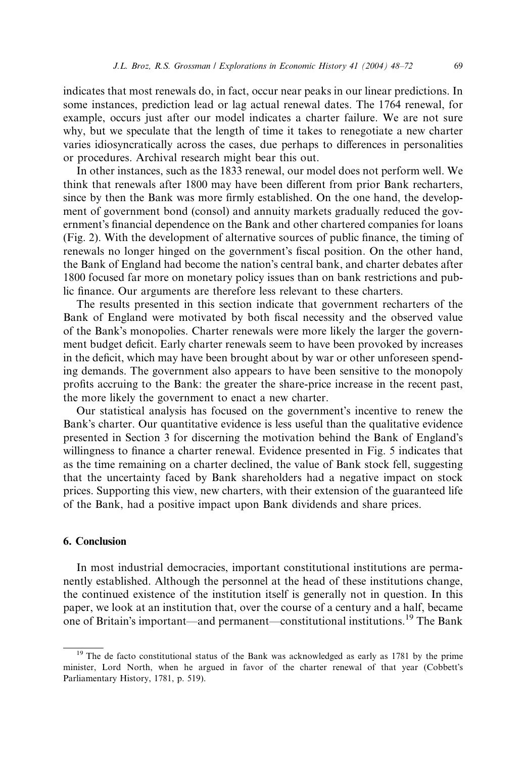indicates that most renewals do, in fact, occur near peaks in our linear predictions. In some instances, prediction lead or lag actual renewal dates. The 1764 renewal, for example, occurs just after our model indicates a charter failure. We are not sure why, but we speculate that the length of time it takes to renegotiate a new charter varies idiosyncratically across the cases, due perhaps to differences in personalities or procedures. Archival research might bear this out.

In other instances, such as the 1833 renewal, our model does not perform well. We think that renewals after 1800 may have been different from prior Bank recharters, since by then the Bank was more firmly established. On the one hand, the development of government bond (consol) and annuity markets gradually reduced the government's financial dependence on the Bank and other chartered companies for loans (Fig. 2). With the development of alternative sources of public finance, the timing of renewals no longer hinged on the government's fiscal position. On the other hand, the Bank of England had become the nation's central bank, and charter debates after 1800 focused far more on monetary policy issues than on bank restrictions and public finance. Our arguments are therefore less relevant to these charters.

The results presented in this section indicate that government recharters of the Bank of England were motivated by both fiscal necessity and the observed value of the Bank's monopolies. Charter renewals were more likely the larger the government budget deficit. Early charter renewals seem to have been provoked by increases in the deficit, which may have been brought about by war or other unforeseen spending demands. The government also appears to have been sensitive to the monopoly profits accruing to the Bank: the greater the share-price increase in the recent past, the more likely the government to enact a new charter.

Our statistical analysis has focused on the government's incentive to renew the Bank's charter. Our quantitative evidence is less useful than the qualitative evidence presented in Section 3 for discerning the motivation behind the Bank of England's willingness to finance a charter renewal. Evidence presented in Fig. 5 indicates that as the time remaining on a charter declined, the value of Bank stock fell, suggesting that the uncertainty faced by Bank shareholders had a negative impact on stock prices. Supporting this view, new charters, with their extension of the guaranteed life of the Bank, had a positive impact upon Bank dividends and share prices.

## 6. Conclusion

In most industrial democracies, important constitutional institutions are permanently established. Although the personnel at the head of these institutions change, the continued existence of the institution itself is generally not in question. In this paper, we look at an institution that, over the course of a century and a half, became one of Britain's important—and permanent—constitutional institutions.<sup>19</sup> The Bank

<sup>&</sup>lt;sup>19</sup> The de facto constitutional status of the Bank was acknowledged as early as 1781 by the prime minister, Lord North, when he argued in favor of the charter renewal of that year (Cobbett's Parliamentary History, 1781, p. 519).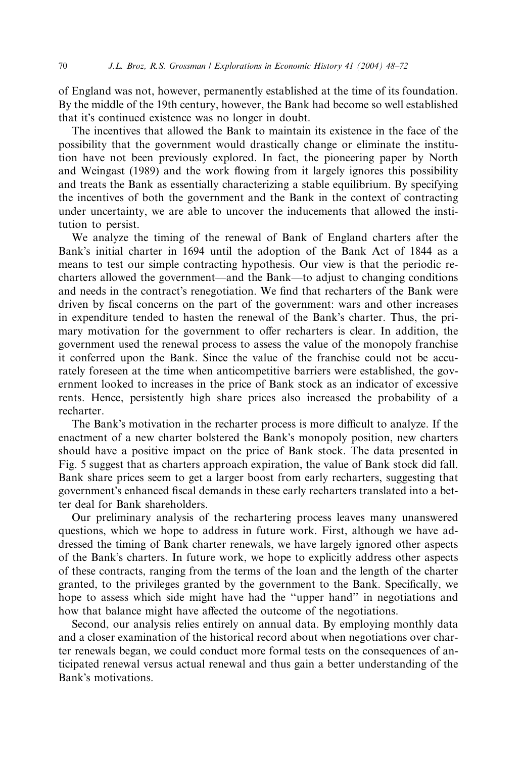of England was not, however, permanently established at the time of its foundation. By the middle of the 19th century, however, the Bank had become so well established that it's continued existence was no longer in doubt.

The incentives that allowed the Bank to maintain its existence in the face of the possibility that the government would drastically change or eliminate the institution have not been previously explored. In fact, the pioneering paper by North and Weingast (1989) and the work flowing from it largely ignores this possibility and treats the Bank as essentially characterizing a stable equilibrium. By specifying the incentives of both the government and the Bank in the context of contracting under uncertainty, we are able to uncover the inducements that allowed the institution to persist.

We analyze the timing of the renewal of Bank of England charters after the Bank's initial charter in 1694 until the adoption of the Bank Act of 1844 as a means to test our simple contracting hypothesis. Our view is that the periodic recharters allowed the government—and the Bank—to adjust to changing conditions and needs in the contract's renegotiation. We find that recharters of the Bank were driven by fiscal concerns on the part of the government: wars and other increases in expenditure tended to hasten the renewal of the Bank's charter. Thus, the primary motivation for the government to offer recharters is clear. In addition, the government used the renewal process to assess the value of the monopoly franchise it conferred upon the Bank. Since the value of the franchise could not be accurately foreseen at the time when anticompetitive barriers were established, the government looked to increases in the price of Bank stock as an indicator of excessive rents. Hence, persistently high share prices also increased the probability of a recharter.

The Bank's motivation in the recharter process is more difficult to analyze. If the enactment of a new charter bolstered the Bank's monopoly position, new charters should have a positive impact on the price of Bank stock. The data presented in Fig. 5 suggest that as charters approach expiration, the value of Bank stock did fall. Bank share prices seem to get a larger boost from early recharters, suggesting that government's enhanced fiscal demands in these early recharters translated into a better deal for Bank shareholders.

Our preliminary analysis of the rechartering process leaves many unanswered questions, which we hope to address in future work. First, although we have addressed the timing of Bank charter renewals, we have largely ignored other aspects of the Bank's charters. In future work, we hope to explicitly address other aspects of these contracts, ranging from the terms of the loan and the length of the charter granted, to the privileges granted by the government to the Bank. Specifically, we hope to assess which side might have had the ''upper hand'' in negotiations and how that balance might have affected the outcome of the negotiations.

Second, our analysis relies entirely on annual data. By employing monthly data and a closer examination of the historical record about when negotiations over charter renewals began, we could conduct more formal tests on the consequences of anticipated renewal versus actual renewal and thus gain a better understanding of the Bank's motivations.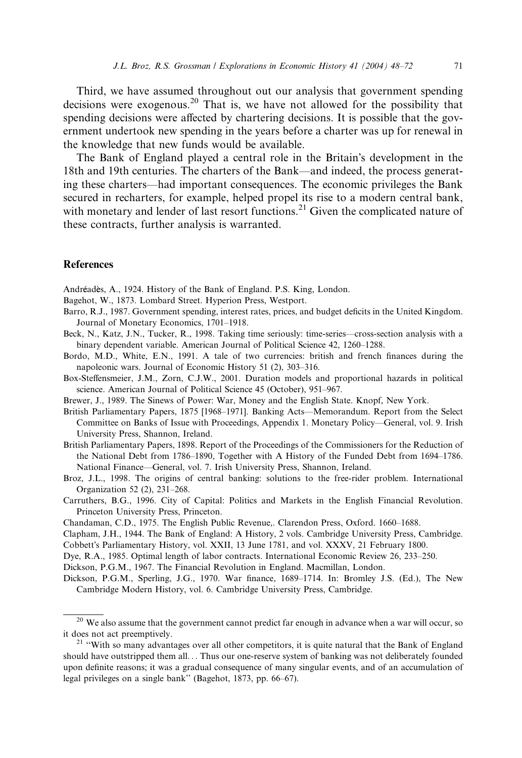Third, we have assumed throughout out our analysis that government spending decisions were exogenous.<sup>20</sup> That is, we have not allowed for the possibility that spending decisions were affected by chartering decisions. It is possible that the government undertook new spending in the years before a charter was up for renewal in the knowledge that new funds would be available.

The Bank of England played a central role in the Britain's development in the 18th and 19th centuries. The charters of the Bank—and indeed, the process generating these charters—had important consequences. The economic privileges the Bank secured in recharters, for example, helped propel its rise to a modern central bank, with monetary and lender of last resort functions.<sup>21</sup> Given the complicated nature of these contracts, further analysis is warranted.

#### References

Andréadès, A., 1924. History of the Bank of England. P.S. King, London.

- Bagehot, W., 1873. Lombard Street. Hyperion Press, Westport.
- Barro, R.J., 1987. Government spending, interest rates, prices, and budget deficits in the United Kingdom. Journal of Monetary Economics, 1701–1918.
- Beck, N., Katz, J.N., Tucker, R., 1998. Taking time seriously: time-series—cross-section analysis with a binary dependent variable. American Journal of Political Science 42, 1260–1288.
- Bordo, M.D., White, E.N., 1991. A tale of two currencies: british and french finances during the napoleonic wars. Journal of Economic History 51 (2), 303–316.
- Box-Steffensmeier, J.M., Zorn, C.J.W., 2001. Duration models and proportional hazards in political science. American Journal of Political Science 45 (October), 951–967.
- Brewer, J., 1989. The Sinews of Power: War, Money and the English State. Knopf, New York.
- British Parliamentary Papers, 1875 [1968–1971]. Banking Acts—Memorandum. Report from the Select Committee on Banks of Issue with Proceedings, Appendix 1. Monetary Policy—General, vol. 9. Irish University Press, Shannon, Ireland.
- British Parliamentary Papers, 1898. Report of the Proceedings of the Commissioners for the Reduction of the National Debt from 1786–1890, Together with A History of the Funded Debt from 1694–1786. National Finance—General, vol. 7. Irish University Press, Shannon, Ireland.
- Broz, J.L., 1998. The origins of central banking: solutions to the free-rider problem. International Organization 52 (2), 231–268.
- Carruthers, B.G., 1996. City of Capital: Politics and Markets in the English Financial Revolution. Princeton University Press, Princeton.
- Chandaman, C.D., 1975. The English Public Revenue,. Clarendon Press, Oxford. 1660–1688.
- Clapham, J.H., 1944. The Bank of England: A History, 2 vols. Cambridge University Press, Cambridge. Cobbett's Parliamentary History, vol. XXII, 13 June 1781, and vol. XXXV, 21 February 1800.
- Dye, R.A., 1985. Optimal length of labor contracts. International Economic Review 26, 233–250.
- Dickson, P.G.M., 1967. The Financial Revolution in England. Macmillan, London.

Dickson, P.G.M., Sperling, J.G., 1970. War finance, 1689–1714. In: Bromley J.S. (Ed.), The New Cambridge Modern History, vol. 6. Cambridge University Press, Cambridge.

<sup>&</sup>lt;sup>20</sup> We also assume that the government cannot predict far enough in advance when a war will occur, so it does not act preemptively.<br><sup>21</sup> "With so many advantages over all other competitors, it is quite natural that the Bank of England

should have outstripped them all... Thus our one-reserve system of banking was not deliberately founded upon definite reasons; it was a gradual consequence of many singular events, and of an accumulation of legal privileges on a single bank'' (Bagehot, 1873, pp. 66–67).